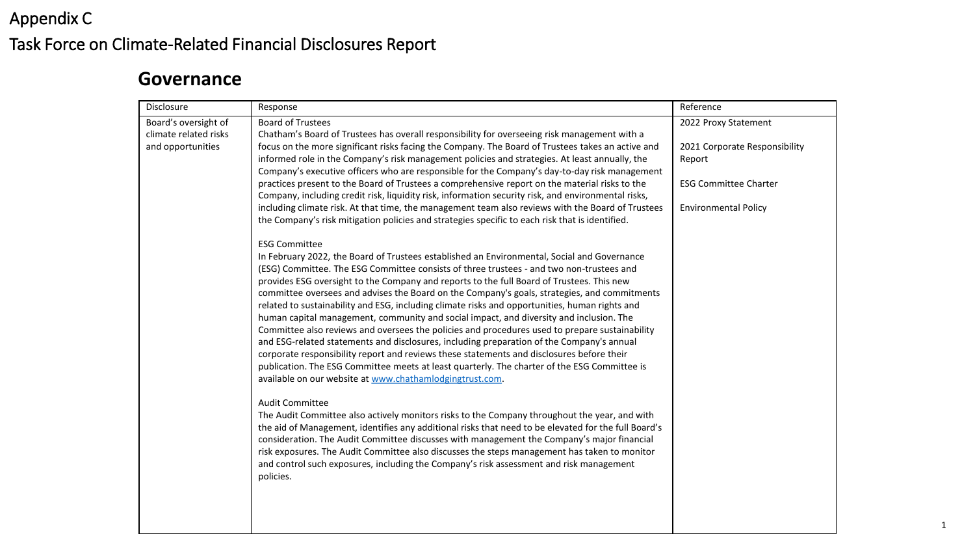# Appendix C Task Force on Climate-Related Financial Disclosures Report

## **Governance**

| <b>Disclosure</b>                                                  | Response                                                                                                                                                                                                                                                                                                                                                                                                                                                                                                                                                                                                                                                                                                                                                                                                                                                                                                                                                                                                                                                                                                                                                                                                                                                                                                                                                                                                                                                                                                                                                                                                   | Reference                                                                                                                      |
|--------------------------------------------------------------------|------------------------------------------------------------------------------------------------------------------------------------------------------------------------------------------------------------------------------------------------------------------------------------------------------------------------------------------------------------------------------------------------------------------------------------------------------------------------------------------------------------------------------------------------------------------------------------------------------------------------------------------------------------------------------------------------------------------------------------------------------------------------------------------------------------------------------------------------------------------------------------------------------------------------------------------------------------------------------------------------------------------------------------------------------------------------------------------------------------------------------------------------------------------------------------------------------------------------------------------------------------------------------------------------------------------------------------------------------------------------------------------------------------------------------------------------------------------------------------------------------------------------------------------------------------------------------------------------------------|--------------------------------------------------------------------------------------------------------------------------------|
| Board's oversight of<br>climate related risks<br>and opportunities | <b>Board of Trustees</b><br>Chatham's Board of Trustees has overall responsibility for overseeing risk management with a<br>focus on the more significant risks facing the Company. The Board of Trustees takes an active and<br>informed role in the Company's risk management policies and strategies. At least annually, the<br>Company's executive officers who are responsible for the Company's day-to-day risk management<br>practices present to the Board of Trustees a comprehensive report on the material risks to the<br>Company, including credit risk, liquidity risk, information security risk, and environmental risks,<br>including climate risk. At that time, the management team also reviews with the Board of Trustees<br>the Company's risk mitigation policies and strategies specific to each risk that is identified.                                                                                                                                                                                                                                                                                                                                                                                                                                                                                                                                                                                                                                                                                                                                                          | 2022 Proxy Statement<br>2021 Corporate Responsibility<br>Report<br><b>ESG Committee Charter</b><br><b>Environmental Policy</b> |
|                                                                    | <b>ESG Committee</b><br>In February 2022, the Board of Trustees established an Environmental, Social and Governance<br>(ESG) Committee. The ESG Committee consists of three trustees - and two non-trustees and<br>provides ESG oversight to the Company and reports to the full Board of Trustees. This new<br>committee oversees and advises the Board on the Company's goals, strategies, and commitments<br>related to sustainability and ESG, including climate risks and opportunities, human rights and<br>human capital management, community and social impact, and diversity and inclusion. The<br>Committee also reviews and oversees the policies and procedures used to prepare sustainability<br>and ESG-related statements and disclosures, including preparation of the Company's annual<br>corporate responsibility report and reviews these statements and disclosures before their<br>publication. The ESG Committee meets at least quarterly. The charter of the ESG Committee is<br>available on our website at www.chathamlodgingtrust.com.<br><b>Audit Committee</b><br>The Audit Committee also actively monitors risks to the Company throughout the year, and with<br>the aid of Management, identifies any additional risks that need to be elevated for the full Board's<br>consideration. The Audit Committee discusses with management the Company's major financial<br>risk exposures. The Audit Committee also discusses the steps management has taken to monitor<br>and control such exposures, including the Company's risk assessment and risk management<br>policies. |                                                                                                                                |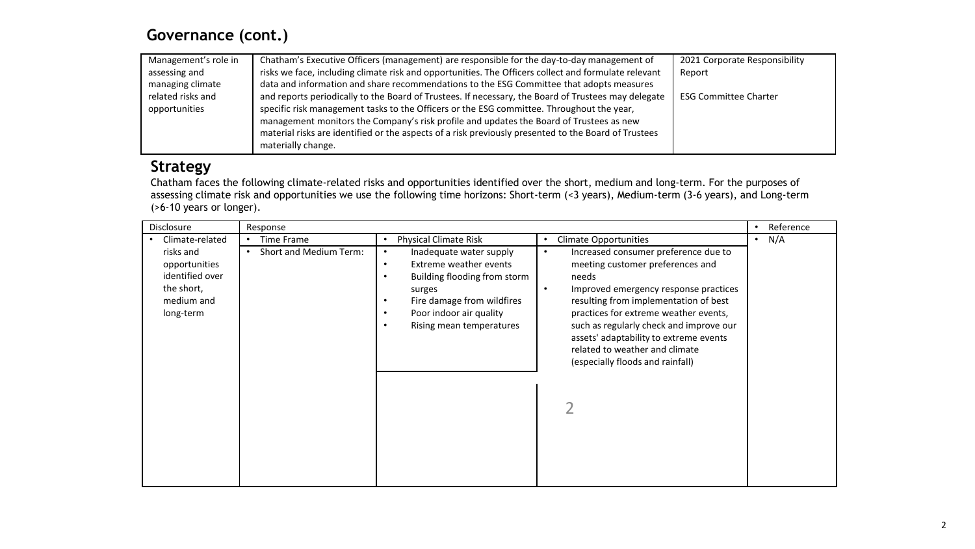### **Governance (cont.)**

| Management's role in | Chatham's Executive Officers (management) are responsible for the day-to-day management of           | 2021 Corporate Responsibility |
|----------------------|------------------------------------------------------------------------------------------------------|-------------------------------|
| assessing and        | risks we face, including climate risk and opportunities. The Officers collect and formulate relevant | Report                        |
| managing climate     | data and information and share recommendations to the ESG Committee that adopts measures             |                               |
| related risks and    | and reports periodically to the Board of Trustees. If necessary, the Board of Trustees may delegate  | <b>ESG Committee Charter</b>  |
| opportunities        | specific risk management tasks to the Officers or the ESG committee. Throughout the year,            |                               |
|                      | management monitors the Company's risk profile and updates the Board of Trustees as new              |                               |
|                      | material risks are identified or the aspects of a risk previously presented to the Board of Trustees |                               |
|                      | materially change.                                                                                   |                               |

### **Strategy**

Chatham faces the following climate-related risks and opportunities identified over the short, medium and long-term. For the purposes of assessing climate risk and opportunities we use the following time horizons: Short-term (<3 years), Medium-term (3-6 years), and Long-term (>6-10 years or longer).

| Disclosure      | Response               |                                                                                        | Reference<br>$\bullet$                  |
|-----------------|------------------------|----------------------------------------------------------------------------------------|-----------------------------------------|
| Climate-related | Time Frame             | <b>Physical Climate Risk</b><br><b>Climate Opportunities</b><br>$\bullet$<br>$\bullet$ | $\cdot$ N/A                             |
| risks and       | Short and Medium Term: | Inadequate water supply<br>$\bullet$<br>$\bullet$                                      | Increased consumer preference due to    |
| opportunities   |                        | Extreme weather events<br>$\bullet$                                                    | meeting customer preferences and        |
| identified over |                        | Building flooding from storm<br>needs<br>٠                                             |                                         |
| the short,      |                        | surges<br>$\bullet$                                                                    | Improved emergency response practices   |
| medium and      |                        | Fire damage from wildfires<br>٠                                                        | resulting from implementation of best   |
| long-term       |                        | Poor indoor air quality<br>٠                                                           | practices for extreme weather events,   |
|                 |                        | Rising mean temperatures<br>٠                                                          | such as regularly check and improve our |
|                 |                        |                                                                                        | assets' adaptability to extreme events  |
|                 |                        |                                                                                        | related to weather and climate          |
|                 |                        | (especially floods and rainfall)                                                       |                                         |
|                 |                        |                                                                                        |                                         |
|                 |                        |                                                                                        |                                         |
|                 |                        |                                                                                        |                                         |
|                 |                        |                                                                                        |                                         |
|                 |                        |                                                                                        |                                         |
|                 |                        |                                                                                        |                                         |
|                 |                        |                                                                                        |                                         |
|                 |                        |                                                                                        |                                         |
|                 |                        |                                                                                        |                                         |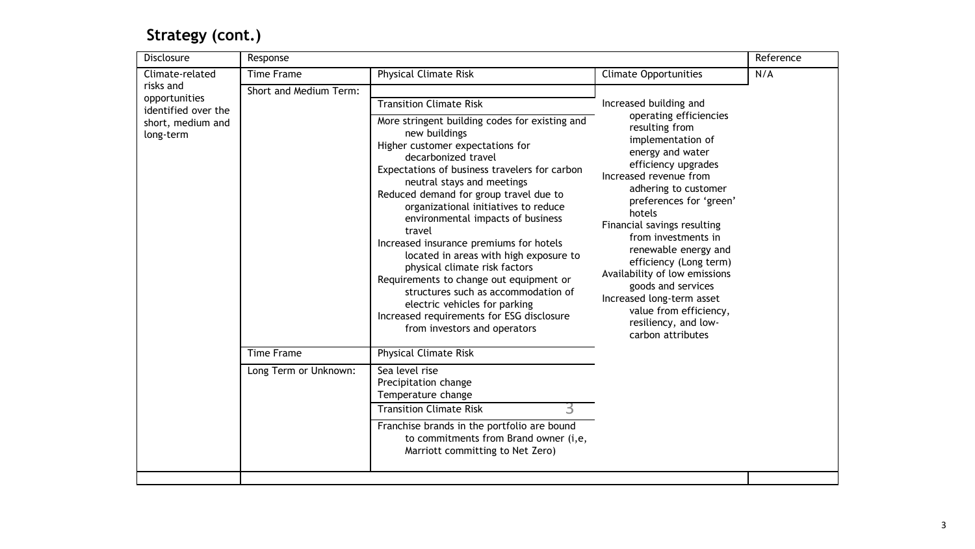## **Strategy (cont.)**

| Disclosure                                            | Response               |                                                                                                                                                                                                                                                                                                                                                                                                                                                                                                                                                                                                                                                                  |                                                                                                                                                                                                                                                                                                                                                                                                                                                                    | Reference |  |
|-------------------------------------------------------|------------------------|------------------------------------------------------------------------------------------------------------------------------------------------------------------------------------------------------------------------------------------------------------------------------------------------------------------------------------------------------------------------------------------------------------------------------------------------------------------------------------------------------------------------------------------------------------------------------------------------------------------------------------------------------------------|--------------------------------------------------------------------------------------------------------------------------------------------------------------------------------------------------------------------------------------------------------------------------------------------------------------------------------------------------------------------------------------------------------------------------------------------------------------------|-----------|--|
| Climate-related                                       | Time Frame             | <b>Physical Climate Risk</b>                                                                                                                                                                                                                                                                                                                                                                                                                                                                                                                                                                                                                                     | <b>Climate Opportunities</b>                                                                                                                                                                                                                                                                                                                                                                                                                                       | N/A       |  |
| risks and<br>opportunities                            | Short and Medium Term: | <b>Transition Climate Risk</b>                                                                                                                                                                                                                                                                                                                                                                                                                                                                                                                                                                                                                                   | Increased building and                                                                                                                                                                                                                                                                                                                                                                                                                                             |           |  |
| identified over the<br>short, medium and<br>long-term |                        | More stringent building codes for existing and<br>new buildings<br>Higher customer expectations for<br>decarbonized travel<br>Expectations of business travelers for carbon<br>neutral stays and meetings<br>Reduced demand for group travel due to<br>organizational initiatives to reduce<br>environmental impacts of business<br>travel<br>Increased insurance premiums for hotels<br>located in areas with high exposure to<br>physical climate risk factors<br>Requirements to change out equipment or<br>structures such as accommodation of<br>electric vehicles for parking<br>Increased requirements for ESG disclosure<br>from investors and operators | operating efficiencies<br>resulting from<br>implementation of<br>energy and water<br>efficiency upgrades<br>Increased revenue from<br>adhering to customer<br>preferences for 'green'<br>hotels<br>Financial savings resulting<br>from investments in<br>renewable energy and<br>efficiency (Long term)<br>Availability of low emissions<br>goods and services<br>Increased long-term asset<br>value from efficiency,<br>resiliency, and low-<br>carbon attributes |           |  |
|                                                       | <b>Time Frame</b>      | <b>Physical Climate Risk</b>                                                                                                                                                                                                                                                                                                                                                                                                                                                                                                                                                                                                                                     |                                                                                                                                                                                                                                                                                                                                                                                                                                                                    |           |  |
|                                                       | Long Term or Unknown:  | Sea level rise<br>Precipitation change<br>Temperature change<br><b>Transition Climate Risk</b><br>3                                                                                                                                                                                                                                                                                                                                                                                                                                                                                                                                                              |                                                                                                                                                                                                                                                                                                                                                                                                                                                                    |           |  |
|                                                       |                        | Franchise brands in the portfolio are bound<br>to commitments from Brand owner (i,e,<br>Marriott committing to Net Zero)                                                                                                                                                                                                                                                                                                                                                                                                                                                                                                                                         |                                                                                                                                                                                                                                                                                                                                                                                                                                                                    |           |  |
|                                                       |                        |                                                                                                                                                                                                                                                                                                                                                                                                                                                                                                                                                                                                                                                                  |                                                                                                                                                                                                                                                                                                                                                                                                                                                                    |           |  |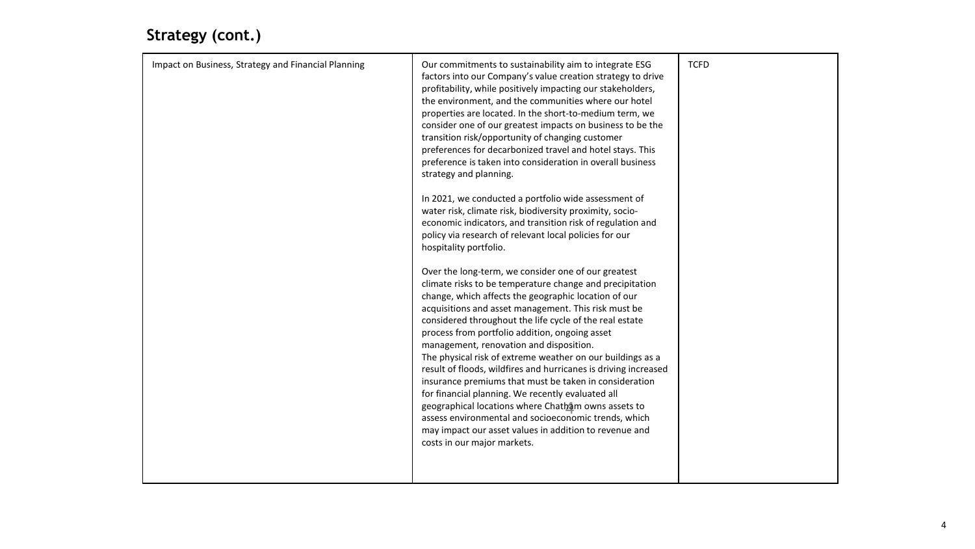## **Strategy (cont.)**

| Impact on Business, Strategy and Financial Planning | Our commitments to sustainability aim to integrate ESG<br>factors into our Company's value creation strategy to drive<br>profitability, while positively impacting our stakeholders,<br>the environment, and the communities where our hotel<br>properties are located. In the short-to-medium term, we<br>consider one of our greatest impacts on business to be the<br>transition risk/opportunity of changing customer<br>preferences for decarbonized travel and hotel stays. This<br>preference is taken into consideration in overall business<br>strategy and planning.<br>In 2021, we conducted a portfolio wide assessment of<br>water risk, climate risk, biodiversity proximity, socio-<br>economic indicators, and transition risk of regulation and<br>policy via research of relevant local policies for our<br>hospitality portfolio.<br>Over the long-term, we consider one of our greatest | <b>TCFD</b> |
|-----------------------------------------------------|-------------------------------------------------------------------------------------------------------------------------------------------------------------------------------------------------------------------------------------------------------------------------------------------------------------------------------------------------------------------------------------------------------------------------------------------------------------------------------------------------------------------------------------------------------------------------------------------------------------------------------------------------------------------------------------------------------------------------------------------------------------------------------------------------------------------------------------------------------------------------------------------------------------|-------------|
|                                                     | climate risks to be temperature change and precipitation<br>change, which affects the geographic location of our<br>acquisitions and asset management. This risk must be<br>considered throughout the life cycle of the real estate<br>process from portfolio addition, ongoing asset<br>management, renovation and disposition.<br>The physical risk of extreme weather on our buildings as a<br>result of floods, wildfires and hurricanes is driving increased<br>insurance premiums that must be taken in consideration<br>for financial planning. We recently evaluated all<br>geographical locations where Chatham owns assets to<br>assess environmental and socioeconomic trends, which<br>may impact our asset values in addition to revenue and<br>costs in our major markets.                                                                                                                    |             |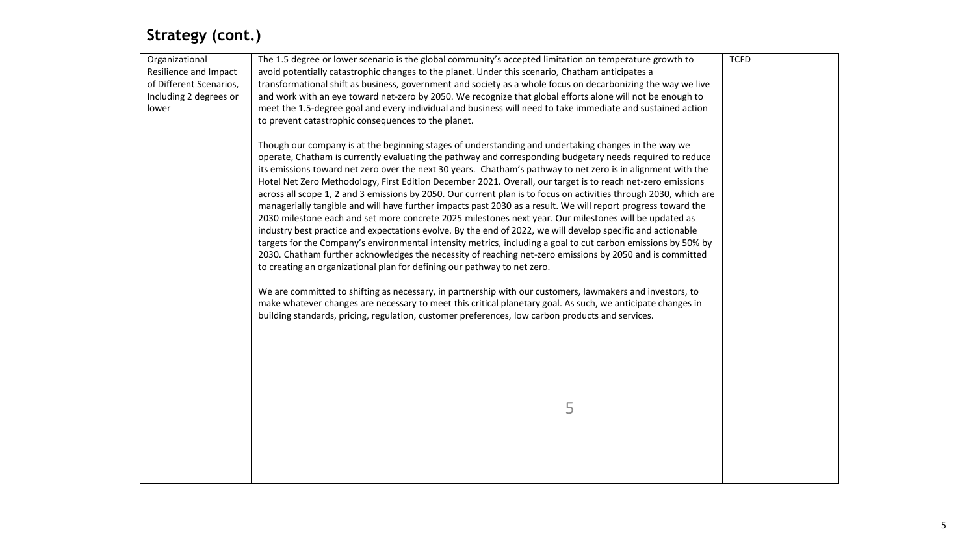## **Strategy (cont.)**

| Organizational<br>Resilience and Impact<br>of Different Scenarios,<br>Including 2 degrees or<br>lower | The 1.5 degree or lower scenario is the global community's accepted limitation on temperature growth to<br>avoid potentially catastrophic changes to the planet. Under this scenario, Chatham anticipates a<br>transformational shift as business, government and society as a whole focus on decarbonizing the way we live<br>and work with an eye toward net-zero by 2050. We recognize that global efforts alone will not be enough to<br>meet the 1.5-degree goal and every individual and business will need to take immediate and sustained action<br>to prevent catastrophic consequences to the planet.<br>Though our company is at the beginning stages of understanding and undertaking changes in the way we<br>operate, Chatham is currently evaluating the pathway and corresponding budgetary needs required to reduce<br>its emissions toward net zero over the next 30 years. Chatham's pathway to net zero is in alignment with the<br>Hotel Net Zero Methodology, First Edition December 2021. Overall, our target is to reach net-zero emissions<br>across all scope 1, 2 and 3 emissions by 2050. Our current plan is to focus on activities through 2030, which are<br>managerially tangible and will have further impacts past 2030 as a result. We will report progress toward the<br>2030 milestone each and set more concrete 2025 milestones next year. Our milestones will be updated as<br>industry best practice and expectations evolve. By the end of 2022, we will develop specific and actionable<br>targets for the Company's environmental intensity metrics, including a goal to cut carbon emissions by 50% by<br>2030. Chatham further acknowledges the necessity of reaching net-zero emissions by 2050 and is committed<br>to creating an organizational plan for defining our pathway to net zero.<br>We are committed to shifting as necessary, in partnership with our customers, lawmakers and investors, to<br>make whatever changes are necessary to meet this critical planetary goal. As such, we anticipate changes in<br>building standards, pricing, regulation, customer preferences, low carbon products and services.<br>5 | <b>TCFD</b> |
|-------------------------------------------------------------------------------------------------------|----------------------------------------------------------------------------------------------------------------------------------------------------------------------------------------------------------------------------------------------------------------------------------------------------------------------------------------------------------------------------------------------------------------------------------------------------------------------------------------------------------------------------------------------------------------------------------------------------------------------------------------------------------------------------------------------------------------------------------------------------------------------------------------------------------------------------------------------------------------------------------------------------------------------------------------------------------------------------------------------------------------------------------------------------------------------------------------------------------------------------------------------------------------------------------------------------------------------------------------------------------------------------------------------------------------------------------------------------------------------------------------------------------------------------------------------------------------------------------------------------------------------------------------------------------------------------------------------------------------------------------------------------------------------------------------------------------------------------------------------------------------------------------------------------------------------------------------------------------------------------------------------------------------------------------------------------------------------------------------------------------------------------------------------------------------------------------------------------------------------------------------------------------------------------------|-------------|
|                                                                                                       |                                                                                                                                                                                                                                                                                                                                                                                                                                                                                                                                                                                                                                                                                                                                                                                                                                                                                                                                                                                                                                                                                                                                                                                                                                                                                                                                                                                                                                                                                                                                                                                                                                                                                                                                                                                                                                                                                                                                                                                                                                                                                                                                                                                  |             |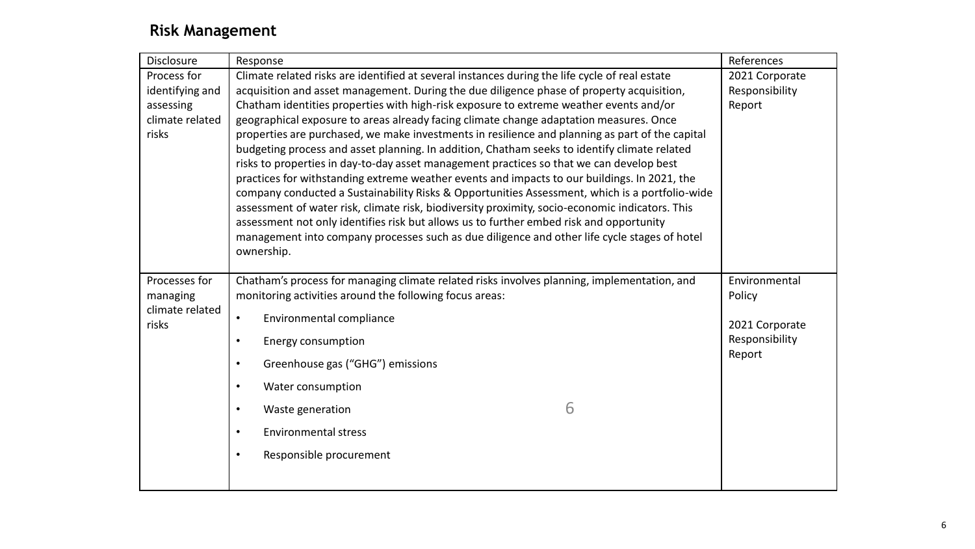### **Risk Management**

| <b>Disclosure</b>        | Response                                                                                                                                                                                 | References     |
|--------------------------|------------------------------------------------------------------------------------------------------------------------------------------------------------------------------------------|----------------|
| Process for              | Climate related risks are identified at several instances during the life cycle of real estate                                                                                           | 2021 Corporate |
| identifying and          | acquisition and asset management. During the due diligence phase of property acquisition,                                                                                                | Responsibility |
| assessing                | Chatham identities properties with high-risk exposure to extreme weather events and/or                                                                                                   | Report         |
| climate related          | geographical exposure to areas already facing climate change adaptation measures. Once                                                                                                   |                |
| risks                    | properties are purchased, we make investments in resilience and planning as part of the capital                                                                                          |                |
|                          | budgeting process and asset planning. In addition, Chatham seeks to identify climate related                                                                                             |                |
|                          | risks to properties in day-to-day asset management practices so that we can develop best<br>practices for withstanding extreme weather events and impacts to our buildings. In 2021, the |                |
|                          | company conducted a Sustainability Risks & Opportunities Assessment, which is a portfolio-wide                                                                                           |                |
|                          | assessment of water risk, climate risk, biodiversity proximity, socio-economic indicators. This                                                                                          |                |
|                          | assessment not only identifies risk but allows us to further embed risk and opportunity                                                                                                  |                |
|                          | management into company processes such as due diligence and other life cycle stages of hotel                                                                                             |                |
|                          | ownership.                                                                                                                                                                               |                |
|                          |                                                                                                                                                                                          |                |
| Processes for            | Chatham's process for managing climate related risks involves planning, implementation, and                                                                                              | Environmental  |
| managing                 | monitoring activities around the following focus areas:                                                                                                                                  | Policy         |
| climate related<br>risks | Environmental compliance<br>$\bullet$                                                                                                                                                    | 2021 Corporate |
|                          | Energy consumption<br>$\bullet$                                                                                                                                                          | Responsibility |
|                          |                                                                                                                                                                                          | Report         |
|                          | Greenhouse gas ("GHG") emissions<br>$\bullet$                                                                                                                                            |                |
|                          | Water consumption<br>$\bullet$                                                                                                                                                           |                |
|                          | 6<br>Waste generation<br>$\bullet$                                                                                                                                                       |                |
|                          | <b>Environmental stress</b><br>$\bullet$                                                                                                                                                 |                |
|                          |                                                                                                                                                                                          |                |
|                          | Responsible procurement<br>$\bullet$                                                                                                                                                     |                |
|                          |                                                                                                                                                                                          |                |
|                          |                                                                                                                                                                                          |                |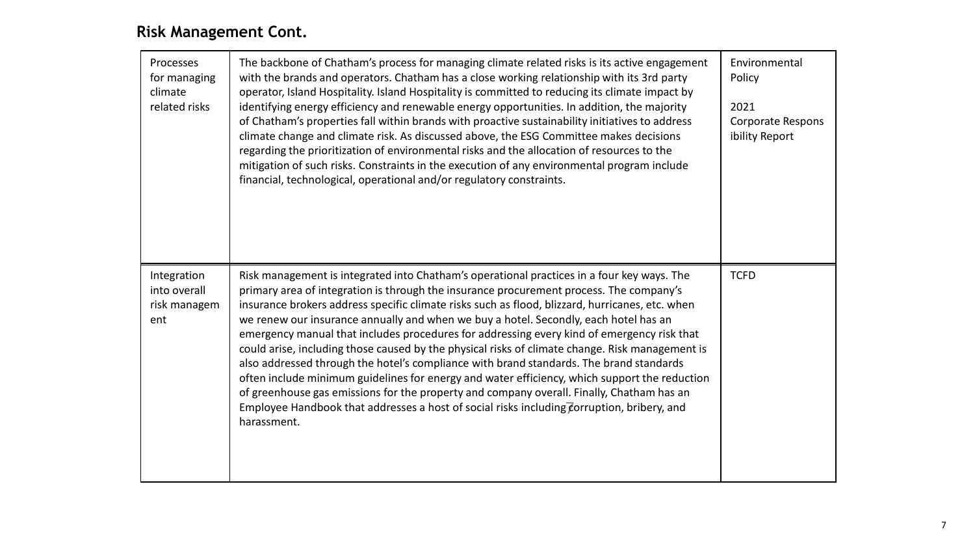## **Risk Management Cont.**

| Processes<br>for managing<br>climate<br>related risks | The backbone of Chatham's process for managing climate related risks is its active engagement<br>with the brands and operators. Chatham has a close working relationship with its 3rd party<br>operator, Island Hospitality. Island Hospitality is committed to reducing its climate impact by<br>identifying energy efficiency and renewable energy opportunities. In addition, the majority<br>of Chatham's properties fall within brands with proactive sustainability initiatives to address<br>climate change and climate risk. As discussed above, the ESG Committee makes decisions<br>regarding the prioritization of environmental risks and the allocation of resources to the<br>mitigation of such risks. Constraints in the execution of any environmental program include<br>financial, technological, operational and/or regulatory constraints.                                                                                                                         | Environmental<br>Policy<br>2021<br>Corporate Respons<br>ibility Report |
|-------------------------------------------------------|-----------------------------------------------------------------------------------------------------------------------------------------------------------------------------------------------------------------------------------------------------------------------------------------------------------------------------------------------------------------------------------------------------------------------------------------------------------------------------------------------------------------------------------------------------------------------------------------------------------------------------------------------------------------------------------------------------------------------------------------------------------------------------------------------------------------------------------------------------------------------------------------------------------------------------------------------------------------------------------------|------------------------------------------------------------------------|
| Integration<br>into overall<br>risk managem<br>ent    | Risk management is integrated into Chatham's operational practices in a four key ways. The<br>primary area of integration is through the insurance procurement process. The company's<br>insurance brokers address specific climate risks such as flood, blizzard, hurricanes, etc. when<br>we renew our insurance annually and when we buy a hotel. Secondly, each hotel has an<br>emergency manual that includes procedures for addressing every kind of emergency risk that<br>could arise, including those caused by the physical risks of climate change. Risk management is<br>also addressed through the hotel's compliance with brand standards. The brand standards<br>often include minimum guidelines for energy and water efficiency, which support the reduction<br>of greenhouse gas emissions for the property and company overall. Finally, Chatham has an<br>Employee Handbook that addresses a host of social risks including corruption, bribery, and<br>harassment. | <b>TCFD</b>                                                            |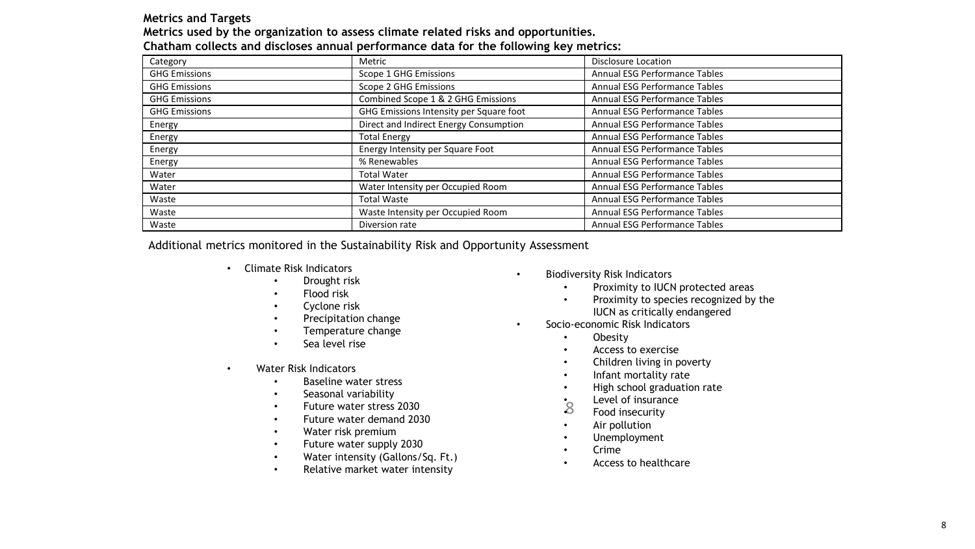#### **Metrics and Targets**

| Metrics used by the organization to assess climate related risks and opportunities.   |  |  |  |
|---------------------------------------------------------------------------------------|--|--|--|
| Chatham collects and discloses annual performance data for the following key metrics: |  |  |  |

| Category             | Metric                                  | <b>Disclosure Location</b>           |
|----------------------|-----------------------------------------|--------------------------------------|
| <b>GHG Emissions</b> | Scope 1 GHG Emissions                   | Annual ESG Performance Tables        |
| <b>GHG Emissions</b> | Scope 2 GHG Emissions                   | Annual ESG Performance Tables        |
| <b>GHG Emissions</b> | Combined Scope 1 & 2 GHG Emissions      | Annual ESG Performance Tables        |
| <b>GHG Emissions</b> | GHG Emissions Intensity per Square foot | Annual ESG Performance Tables        |
| Energy               | Direct and Indirect Energy Consumption  | Annual ESG Performance Tables        |
| Energy               | <b>Total Energy</b>                     | Annual ESG Performance Tables        |
| Energy               | Energy Intensity per Square Foot        | Annual ESG Performance Tables        |
| Energy               | % Renewables                            | Annual ESG Performance Tables        |
| Water                | <b>Total Water</b>                      | Annual ESG Performance Tables        |
| Water                | Water Intensity per Occupied Room       | <b>Annual ESG Performance Tables</b> |
| Waste                | <b>Total Waste</b>                      | Annual ESG Performance Tables        |
| Waste                | Waste Intensity per Occupied Room       | Annual ESG Performance Tables        |
| Waste                | Diversion rate                          | Annual ESG Performance Tables        |

Additional metrics monitored in the Sustainability Risk and Opportunity Assessment

- Climate Risk Indicators
	- Drought risk
	- Flood risk
	- Cyclone risk
	- Precipitation change
	- Temperature change
	- Sea level rise
- Water Risk Indicators
	- Baseline water stress
	- Seasonal variability
	- Future water stress 2030
	- Future water demand 2030
	- Water risk premium
	- Future water supply 2030
	- Water intensity (Gallons/Sq. Ft.)
	- Relative market water intensity
- Biodiversity Risk Indicators
	- Proximity to IUCN protected areas
	- Proximity to species recognized by the IUCN as critically endangered
- Socio-economic Risk Indicators
	- Obesity
	- Access to exercise
	- Children living in poverty
	- Infant mortality rate
	- High school graduation rate
	- $\overline{8}$ Level of insurance
	- Food insecurity
	- Air pollution
	- Unemployment
	- Crime
	- Access to healthcare